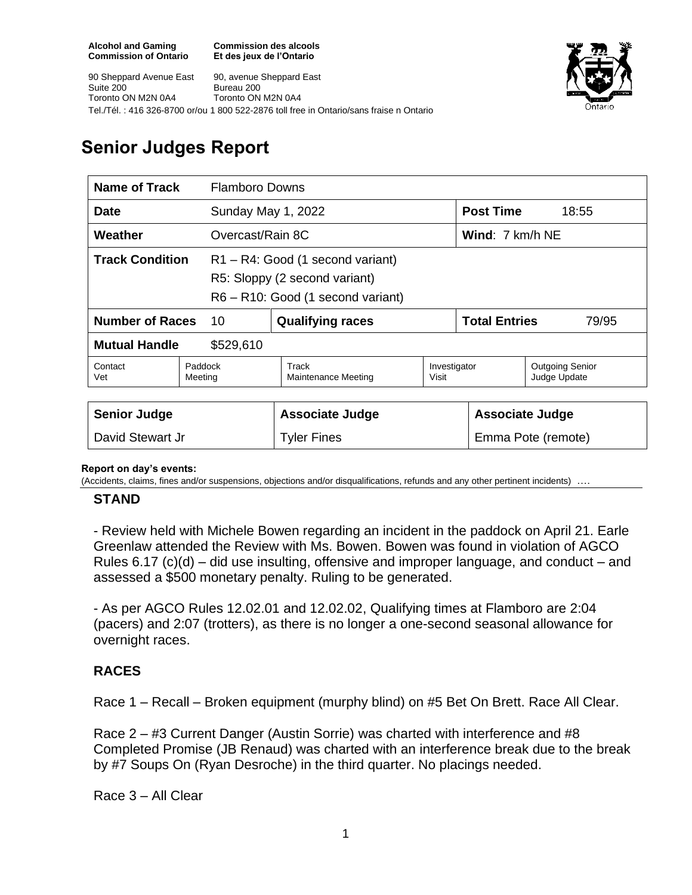**Commission des alcools Et des jeux de l'Ontario**



90 Sheppard Avenue East Suite 200 Toronto ON M2N 0A4 90, avenue Sheppard East Bureau 200 Toronto ON M2N 0A4 Tel./Tél. : 416 326-8700 or/ou 1 800 522-2876 toll free in Ontario/sans fraise n Ontario

# **Senior Judges Report**

| <b>Name of Track</b>              | <b>Flamboro Downs</b> |                                                                                                      |                       |                                  |                                        |
|-----------------------------------|-----------------------|------------------------------------------------------------------------------------------------------|-----------------------|----------------------------------|----------------------------------------|
| <b>Date</b>                       |                       | Sunday May 1, 2022                                                                                   |                       | <b>Post Time</b>                 | 18:55                                  |
| Weather<br>Overcast/Rain 8C       |                       |                                                                                                      |                       | <b>Wind:</b> $7 \text{ km/h}$ NE |                                        |
| <b>Track Condition</b>            |                       | R1-R4: Good (1 second variant)<br>R5: Sloppy (2 second variant)<br>R6 - R10: Good (1 second variant) |                       |                                  |                                        |
| <b>Number of Races</b><br>10      |                       | <b>Qualifying races</b>                                                                              |                       | <b>Total Entries</b><br>79/95    |                                        |
| <b>Mutual Handle</b><br>\$529,610 |                       |                                                                                                      |                       |                                  |                                        |
| Contact<br>Vet                    | Paddock<br>Meeting    | Track<br>Maintenance Meeting                                                                         | Investigator<br>Visit |                                  | <b>Outgoing Senior</b><br>Judge Update |
|                                   |                       |                                                                                                      |                       |                                  |                                        |
| <b>Senior Judge</b>               |                       | <b>Associate Judge</b>                                                                               |                       | <b>Associate Judge</b>           |                                        |

#### **Report on day's events:**

(Accidents, claims, fines and/or suspensions, objections and/or disqualifications, refunds and any other pertinent incidents) ….

David Stewart Jr **Example 2** Tyler Fines Fines Emma Pote (remote)

### **STAND**

- Review held with Michele Bowen regarding an incident in the paddock on April 21. Earle Greenlaw attended the Review with Ms. Bowen. Bowen was found in violation of AGCO Rules 6.17 (c)(d) – did use insulting, offensive and improper language, and conduct – and assessed a \$500 monetary penalty. Ruling to be generated.

- As per AGCO Rules 12.02.01 and 12.02.02, Qualifying times at Flamboro are 2:04 (pacers) and 2:07 (trotters), as there is no longer a one-second seasonal allowance for overnight races.

# **RACES**

Race 1 – Recall – Broken equipment (murphy blind) on #5 Bet On Brett. Race All Clear.

Race 2 – #3 Current Danger (Austin Sorrie) was charted with interference and #8 Completed Promise (JB Renaud) was charted with an interference break due to the break by #7 Soups On (Ryan Desroche) in the third quarter. No placings needed.

Race 3 – All Clear